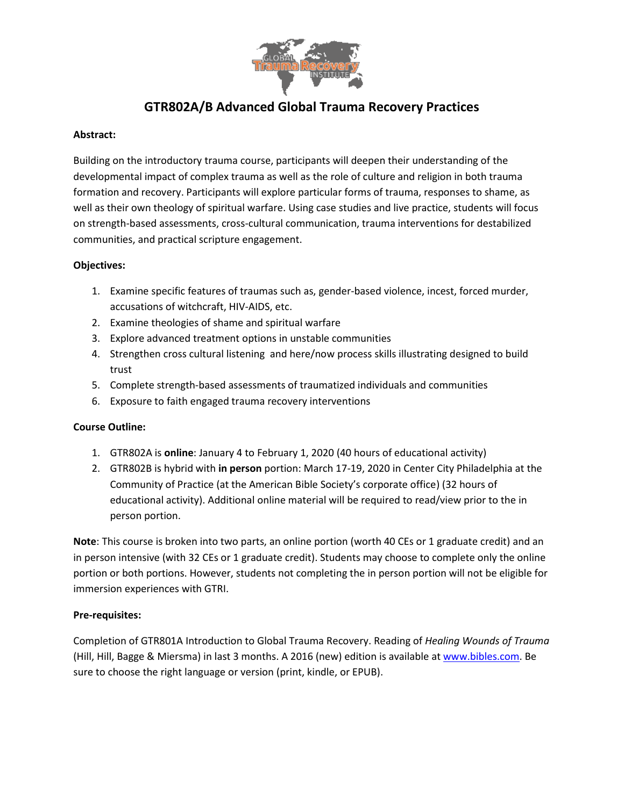

# **GTR802A/B Advanced Global Trauma Recovery Practices**

#### **Abstract:**

Building on the introductory trauma course, participants will deepen their understanding of the developmental impact of complex trauma as well as the role of culture and religion in both trauma formation and recovery. Participants will explore particular forms of trauma, responses to shame, as well as their own theology of spiritual warfare. Using case studies and live practice, students will focus on strength-based assessments, cross-cultural communication, trauma interventions for destabilized communities, and practical scripture engagement.

### **Objectives:**

- 1. Examine specific features of traumas such as, gender-based violence, incest, forced murder, accusations of witchcraft, HIV-AIDS, etc.
- 2. Examine theologies of shame and spiritual warfare
- 3. Explore advanced treatment options in unstable communities
- 4. Strengthen cross cultural listening and here/now process skills illustrating designed to build trust
- 5. Complete strength-based assessments of traumatized individuals and communities
- 6. Exposure to faith engaged trauma recovery interventions

## **Course Outline:**

- 1. GTR802A is **online**: January 4 to February 1, 2020 (40 hours of educational activity)
- 2. GTR802B is hybrid with **in person** portion: March 17-19, 2020 in Center City Philadelphia at the Community of Practice (at the American Bible Society's corporate office) (32 hours of educational activity). Additional online material will be required to read/view prior to the in person portion.

**Note**: This course is broken into two parts, an online portion (worth 40 CEs or 1 graduate credit) and an in person intensive (with 32 CEs or 1 graduate credit). Students may choose to complete only the online portion or both portions. However, students not completing the in person portion will not be eligible for immersion experiences with GTRI.

#### **Pre-requisites:**

Completion of GTR801A Introduction to Global Trauma Recovery. Reading of *Healing Wounds of Trauma*  (Hill, Hill, Bagge & Miersma) in last 3 months. A 2016 (new) edition is available at [www.bibles.com.](http://www.bibles.com/) Be sure to choose the right language or version (print, kindle, or EPUB).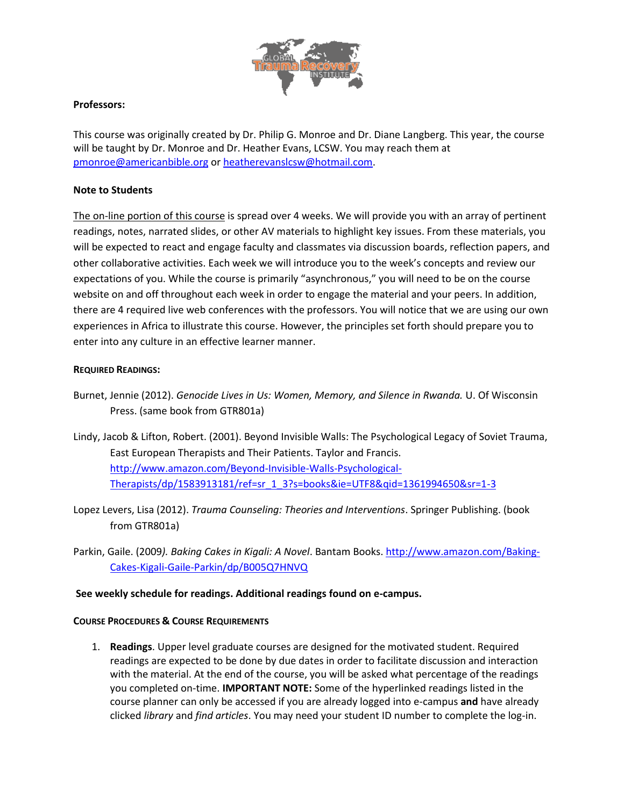

#### **Professors:**

This course was originally created by Dr. Philip G. Monroe and Dr. Diane Langberg. This year, the course will be taught by Dr. Monroe and Dr. Heather Evans, LCSW. You may reach them at [pmonroe@americanbible.org](mailto:pmonroe@americanbible.org) or [heatherevanslcsw@hotmail.com.](mailto:heatherevanslcsw@hotmail.com)

### **Note to Students**

The on-line portion of this course is spread over 4 weeks. We will provide you with an array of pertinent readings, notes, narrated slides, or other AV materials to highlight key issues. From these materials, you will be expected to react and engage faculty and classmates via discussion boards, reflection papers, and other collaborative activities. Each week we will introduce you to the week's concepts and review our expectations of you. While the course is primarily "asynchronous," you will need to be on the course website on and off throughout each week in order to engage the material and your peers. In addition, there are 4 required live web conferences with the professors. You will notice that we are using our own experiences in Africa to illustrate this course. However, the principles set forth should prepare you to enter into any culture in an effective learner manner.

### **REQUIRED READINGS:**

- Burnet, Jennie (2012). *Genocide Lives in Us: Women, Memory, and Silence in Rwanda.* U. Of Wisconsin Press. (same book from GTR801a)
- Lindy, Jacob & Lifton, Robert. (2001). Beyond Invisible Walls: The Psychological Legacy of Soviet Trauma, East European Therapists and Their Patients. Taylor and Francis. [http://www.amazon.com/Beyond-Invisible-Walls-Psychological-](http://www.amazon.com/Beyond-Invisible-Walls-Psychological-Therapists/dp/1583913181/ref=sr_1_3?s=books&ie=UTF8&qid=1361994650&sr=1-3)[Therapists/dp/1583913181/ref=sr\\_1\\_3?s=books&ie=UTF8&qid=1361994650&sr=1-3](http://www.amazon.com/Beyond-Invisible-Walls-Psychological-Therapists/dp/1583913181/ref=sr_1_3?s=books&ie=UTF8&qid=1361994650&sr=1-3)
- Lopez Levers, Lisa (2012). *Trauma Counseling: Theories and Interventions*. Springer Publishing. (book from GTR801a)
- Parkin, Gaile. (2009*). Baking Cakes in Kigali: A Novel*. Bantam Books[. http://www.amazon.com/Baking-](http://www.amazon.com/Baking-Cakes-Kigali-Gaile-Parkin/dp/B005Q7HNVQ)[Cakes-Kigali-Gaile-Parkin/dp/B005Q7HNVQ](http://www.amazon.com/Baking-Cakes-Kigali-Gaile-Parkin/dp/B005Q7HNVQ)

#### **See weekly schedule for readings. Additional readings found on e-campus.**

#### **COURSE PROCEDURES & COURSE REQUIREMENTS**

1. **Readings**. Upper level graduate courses are designed for the motivated student. Required readings are expected to be done by due dates in order to facilitate discussion and interaction with the material. At the end of the course, you will be asked what percentage of the readings you completed on-time. **IMPORTANT NOTE:** Some of the hyperlinked readings listed in the course planner can only be accessed if you are already logged into e-campus **and** have already clicked *library* and *find articles*. You may need your student ID number to complete the log-in.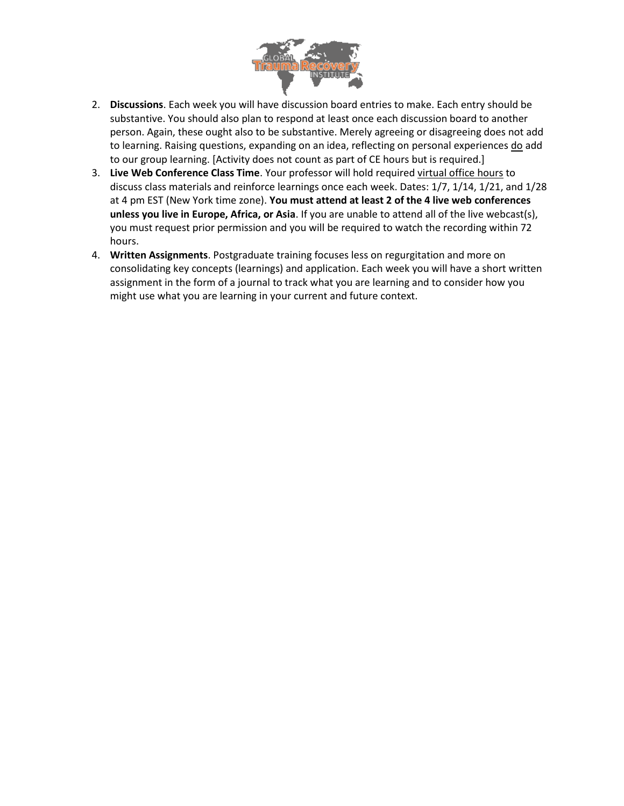

- 2. **Discussions**. Each week you will have discussion board entries to make. Each entry should be substantive. You should also plan to respond at least once each discussion board to another person. Again, these ought also to be substantive. Merely agreeing or disagreeing does not add to learning. Raising questions, expanding on an idea, reflecting on personal experiences do add to our group learning. [Activity does not count as part of CE hours but is required.]
- 3. **Live Web Conference Class Time**. Your professor will hold required virtual office hours to discuss class materials and reinforce learnings once each week. Dates: 1/7, 1/14, 1/21, and 1/28 at 4 pm EST (New York time zone). **You must attend at least 2 of the 4 live web conferences unless you live in Europe, Africa, or Asia**. If you are unable to attend all of the live webcast(s), you must request prior permission and you will be required to watch the recording within 72 hours.
- 4. **Written Assignments**. Postgraduate training focuses less on regurgitation and more on consolidating key concepts (learnings) and application. Each week you will have a short written assignment in the form of a journal to track what you are learning and to consider how you might use what you are learning in your current and future context.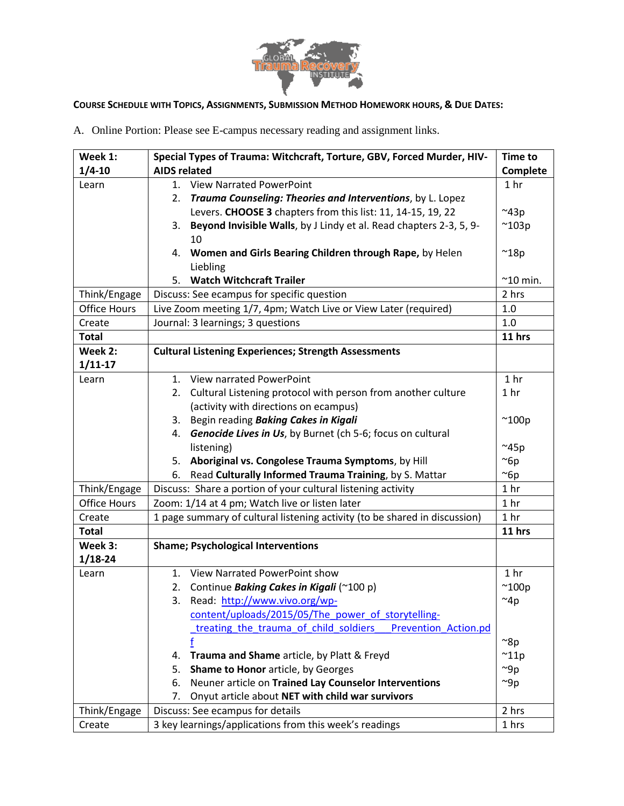

# COURSE SCHEDULE WITH TOPICS, ASSIGNMENTS, SUBMISSION METHOD HOMEWORK HOURS, & DUE DATES:

A. Online Portion: Please see E-campus necessary reading and assignment links.

| Week 1:<br>$1/4 - 10$ | Special Types of Trauma: Witchcraft, Torture, GBV, Forced Murder, HIV-<br><b>AIDS related</b> | <b>Time to</b><br>Complete |
|-----------------------|-----------------------------------------------------------------------------------------------|----------------------------|
| Learn                 | 1. View Narrated PowerPoint                                                                   | 1 <sub>hr</sub>            |
|                       | Trauma Counseling: Theories and Interventions, by L. Lopez<br>2.                              |                            |
|                       | Levers. CHOOSE 3 chapters from this list: 11, 14-15, 19, 22                                   | $~^{\sim}$ 43p             |
|                       | Beyond Invisible Walls, by J Lindy et al. Read chapters 2-3, 5, 9-<br>3.                      | $^{\sim}$ 103p             |
|                       | 10                                                                                            |                            |
|                       | Women and Girls Bearing Children through Rape, by Helen<br>4.<br>Liebling                     | $^{\sim}$ 18p              |
|                       | <b>Watch Witchcraft Trailer</b><br>5.                                                         | $^{\sim}$ 10 min.          |
| Think/Engage          | Discuss: See ecampus for specific question                                                    | 2 hrs                      |
| <b>Office Hours</b>   | Live Zoom meeting 1/7, 4pm; Watch Live or View Later (required)                               | 1.0                        |
| Create                | Journal: 3 learnings; 3 questions                                                             | 1.0                        |
| <b>Total</b>          |                                                                                               | 11 hrs                     |
| Week 2:               | <b>Cultural Listening Experiences; Strength Assessments</b>                                   |                            |
| $1/11-17$             |                                                                                               |                            |
| Learn                 | View narrated PowerPoint<br>1.                                                                | 1 <sub>hr</sub>            |
|                       | 2. Cultural Listening protocol with person from another culture                               | 1 <sub>hr</sub>            |
|                       | (activity with directions on ecampus)                                                         |                            |
|                       | Begin reading Baking Cakes in Kigali<br>3.                                                    | $^{\sim}$ 100p             |
|                       | Genocide Lives in Us, by Burnet (ch 5-6; focus on cultural<br>4.                              |                            |
|                       | listening)                                                                                    | $^{\sim}$ 45p              |
|                       | Aboriginal vs. Congolese Trauma Symptoms, by Hill<br>5.                                       | $\sim$ 6p                  |
|                       | Read Culturally Informed Trauma Training, by S. Mattar<br>6.                                  | $\sim$ 6p                  |
| Think/Engage          | Discuss: Share a portion of your cultural listening activity                                  | 1 <sub>hr</sub>            |
| <b>Office Hours</b>   | Zoom: 1/14 at 4 pm; Watch live or listen later                                                | 1 <sub>hr</sub>            |
| Create                | 1 page summary of cultural listening activity (to be shared in discussion)                    | 1 <sub>hr</sub>            |
| <b>Total</b>          |                                                                                               | 11 hrs                     |
| Week 3:               | <b>Shame; Psychological Interventions</b>                                                     |                            |
| $1/18 - 24$           |                                                                                               |                            |
| Learn                 | View Narrated PowerPoint show<br>1.                                                           | 1 <sub>hr</sub>            |
|                       | Continue Baking Cakes in Kigali (~100 p)<br>2.                                                | $^{\sim}$ 100p             |
|                       | Read: http://www.vivo.org/wp-<br>3.                                                           | $~\sim$ 4p                 |
|                       | content/uploads/2015/05/The power of storytelling-                                            |                            |
|                       | treating the trauma of child soldiers<br>Prevention Action.pd                                 |                            |
|                       |                                                                                               | $\approx 8p$               |
|                       | Trauma and Shame article, by Platt & Freyd<br>4.                                              | $^{\sim}$ 11p              |
|                       | Shame to Honor article, by Georges<br>5.                                                      | $~\sim$ 9p                 |
|                       | Neuner article on Trained Lay Counselor Interventions<br>6.                                   | $~\sim$ 9p                 |
|                       | Onyut article about NET with child war survivors<br>7.                                        |                            |
| Think/Engage          | Discuss: See ecampus for details                                                              | 2 hrs                      |
| Create                | 3 key learnings/applications from this week's readings                                        | 1 hrs                      |